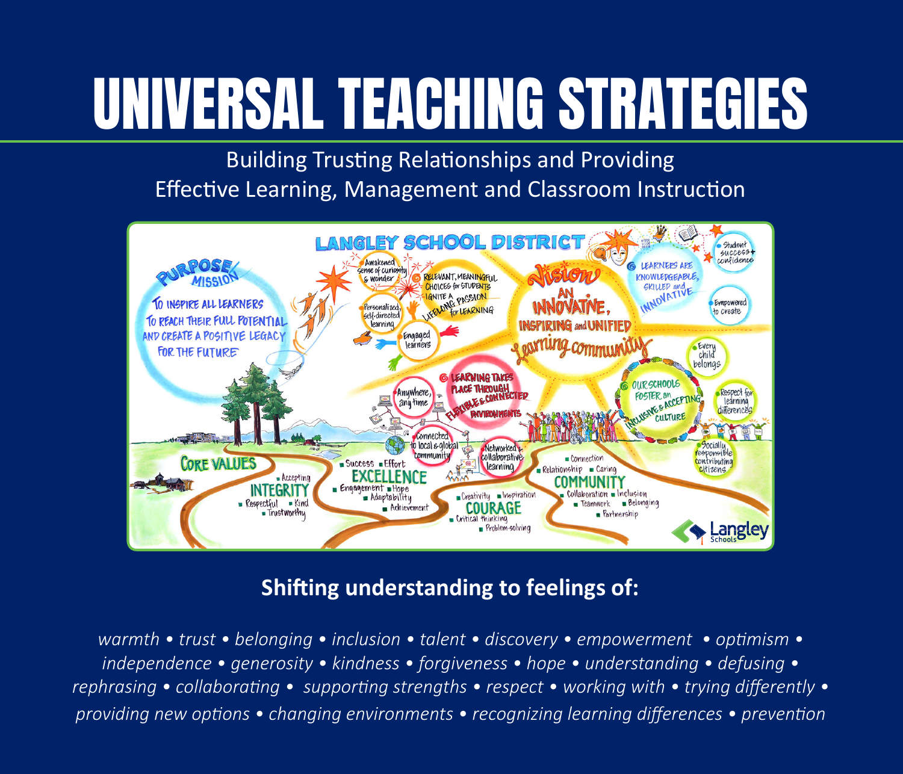## UNIVERSAL TEACHING STRATEGIES

Building Trusting Relationships and Providing Effective Learning, Management and Classroom Instruction



#### **Shifting understanding to feelings of:**

*warmth • trust • belonging • inclusion • talent • discovery • empowerment • optimism • independence • generosity • kindness • forgiveness • hope • understanding • defusing • rephrasing • collaborating • supporting strengths • respect • working with • trying differently • providing new options • changing environments • recognizing learning differences • prevention*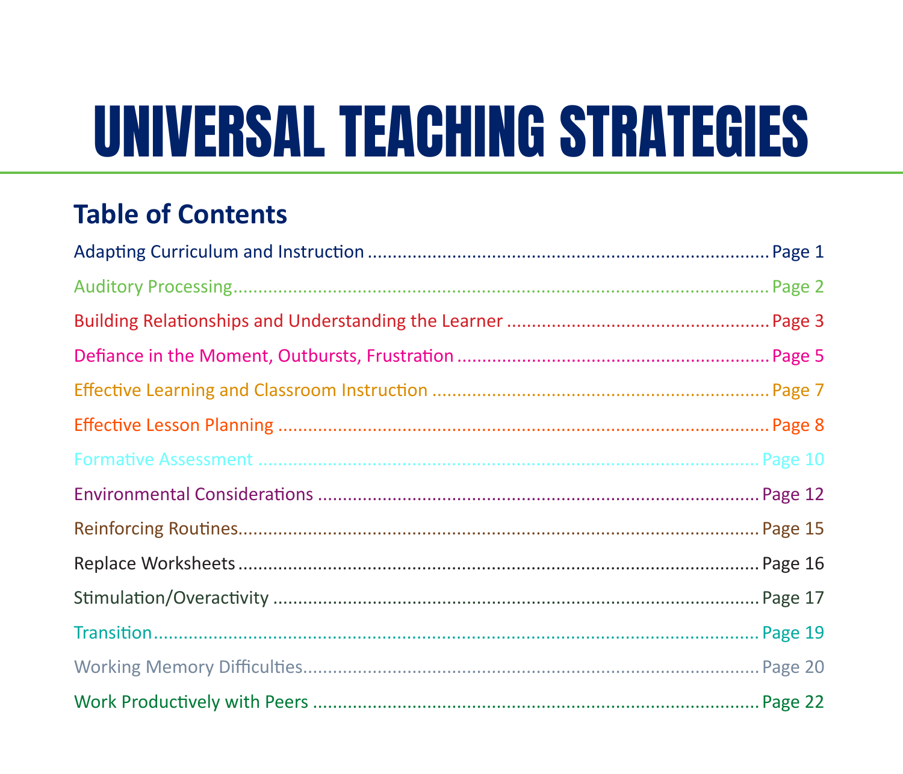# **UNIVERSAL TEACHING STRATEGIES**

#### **Table of Contents**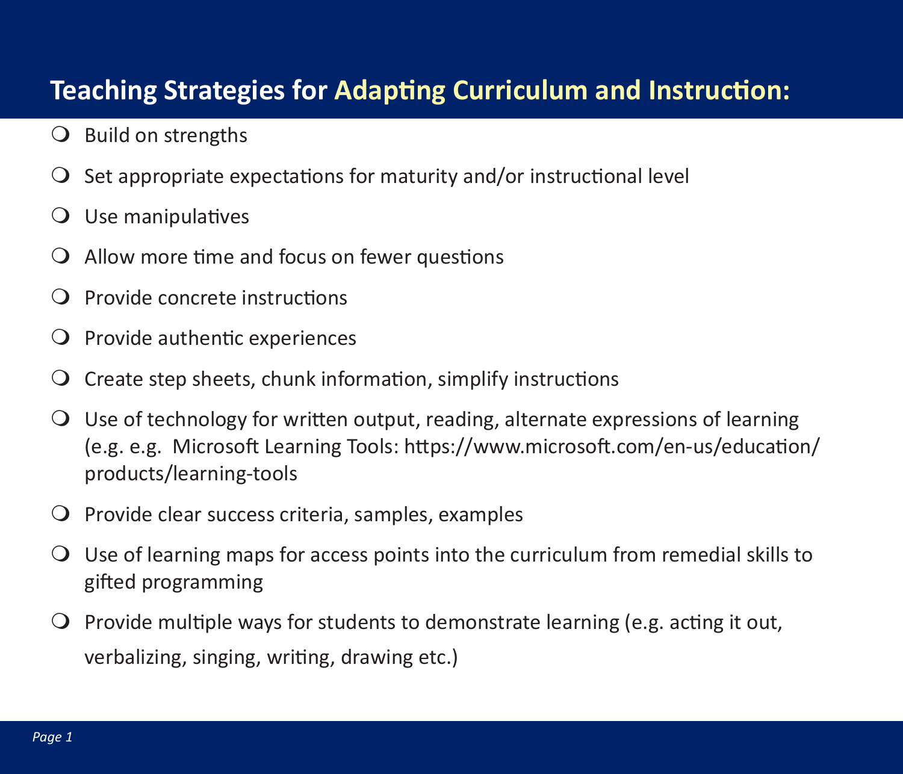#### **Teaching Strategies for Adapting Curriculum and Instruction:**

- $\bigcirc$  Build on strengths
- $\Omega$  Set appropriate expectations for maturity and/or instructional level
- $\bigcirc$  Use manipulatives
- $\Omega$  Allow more time and focus on fewer questions
- Provide concrete instructions
- $\overline{Q}$  Provide authentic experiences
- $\Omega$  Create step sheets, chunk information, simplify instructions
- $\bigcirc$  Use of technology for written output, reading, alternate expressions of learning (e.g. e.g. Microsoft Learning Tools: https://www.microsoft.com/en-us/education/ products/learning-tools
- $\overline{Q}$  Provide clear success criteria, samples, examples
- $\bigcirc$  Use of learning maps for access points into the curriculum from remedial skills to gifted programming
- $\bigcirc$  Provide multiple ways for students to demonstrate learning (e.g. acting it out, verbalizing, singing, writing, drawing etc.)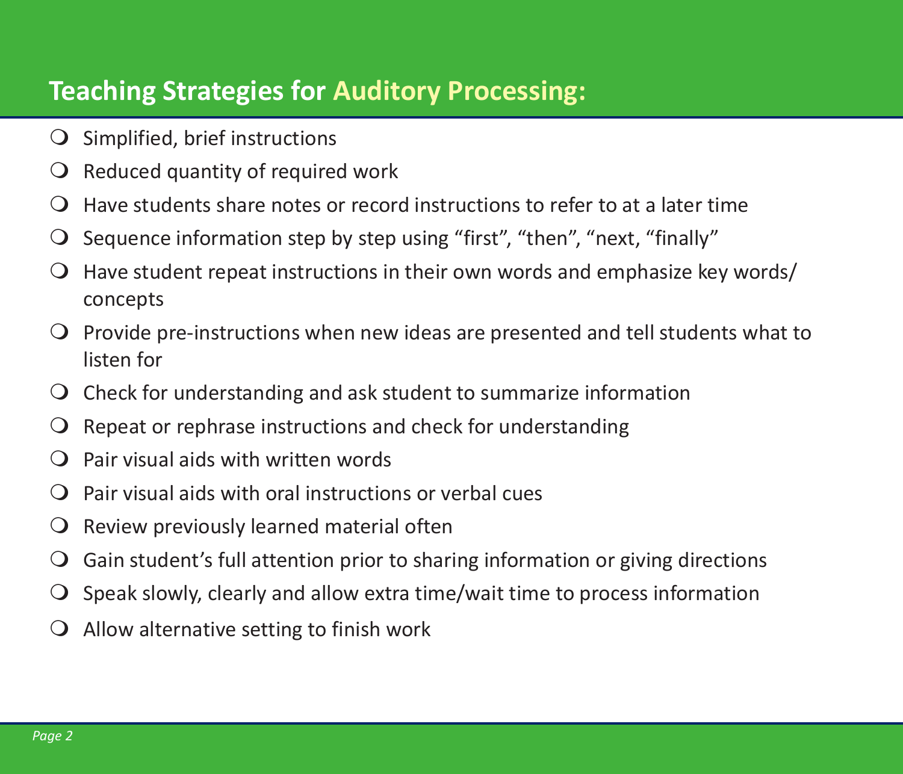#### **Teaching Strategies for Auditory Processing:**

- $\bigcirc$  Simplified, brief instructions
- $\overline{Q}$  Reduced quantity of required work
- $\Omega$  Have students share notes or record instructions to refer to at a later time
- $\Omega$  Sequence information step by step using "first", "then", "next, "finally"
- $\bigcirc$  Have student repeat instructions in their own words and emphasize key words/ concepts
- $\bigcirc$  Provide pre-instructions when new ideas are presented and tell students what to listen for
- $\overline{Q}$  Check for understanding and ask student to summarize information
- $\Omega$  Repeat or rephrase instructions and check for understanding
- $\Omega$  Pair visual aids with written words
- $\Omega$  Pair visual aids with oral instructions or verbal cues
- $\Omega$  Review previously learned material often
- $\overline{Q}$  Gain student's full attention prior to sharing information or giving directions
- $\bigcirc$  Speak slowly, clearly and allow extra time/wait time to process information
- $\overline{Q}$  Allow alternative setting to finish work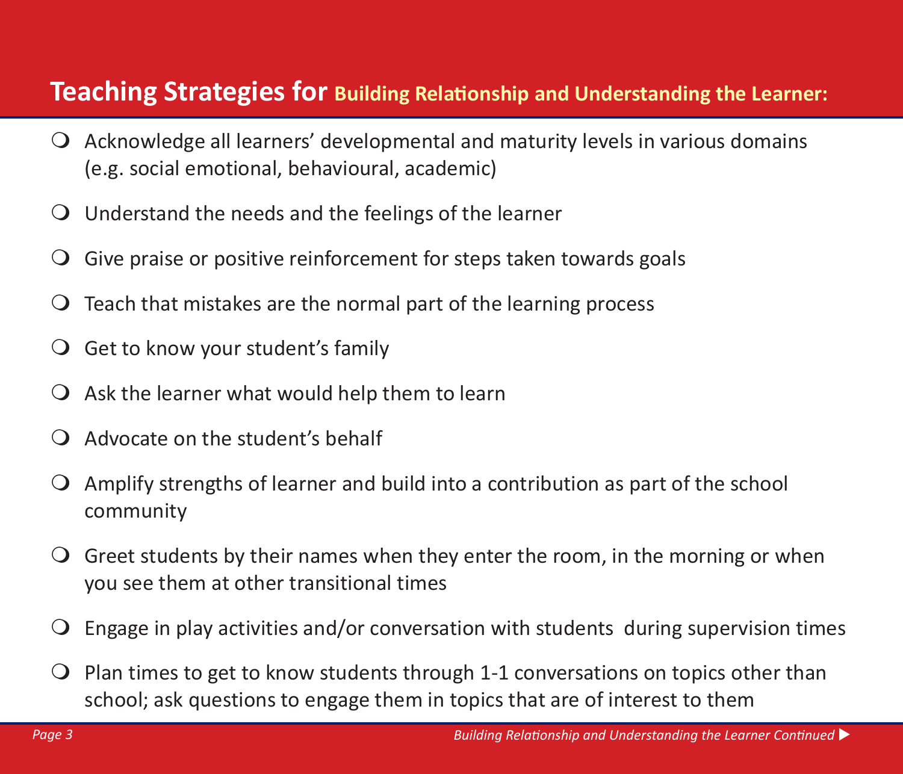#### **Teaching Strategies for Building Relationship and Understanding the Learner:**

- $\overline{Q}$  Acknowledge all learners' developmental and maturity levels in various domains (e.g. social emotional, behavioural, academic)
- $\overline{Q}$  Understand the needs and the feelings of the learner
- $\overline{Q}$  Give praise or positive reinforcement for steps taken towards goals
- $\overline{O}$  Teach that mistakes are the normal part of the learning process
- $\overline{Q}$  Get to know your student's family
- $\overline{Q}$  Ask the learner what would help them to learn
- $\Omega$  Advocate on the student's behalf
- Amplify strengths of learner and build into a contribution as part of the school community
- $\overline{Q}$  Greet students by their names when they enter the room, in the morning or when you see them at other transitional times
- $\overline{Q}$  Engage in play activities and/or conversation with students during supervision times
- $\overline{Q}$  Plan times to get to know students through 1-1 conversations on topics other than school; ask questions to engage them in topics that are of interest to them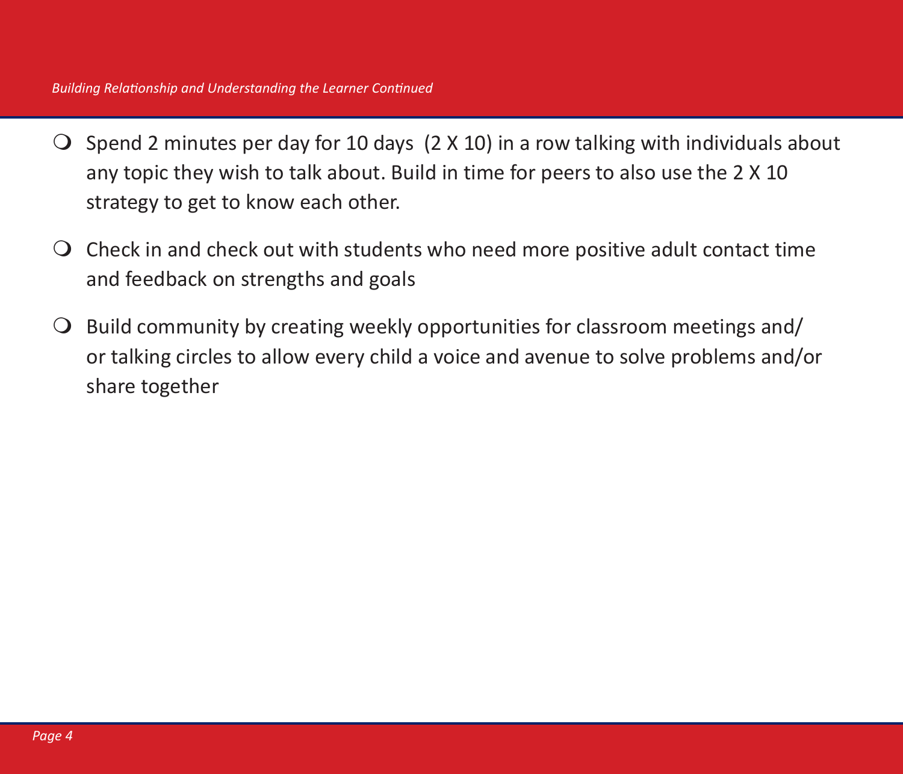- $\bigcirc$  Spend 2 minutes per day for 10 days (2 X 10) in a row talking with individuals about any topic they wish to talk about. Build in time for peers to also use the 2 X 10 strategy to get to know each other.
- $\overline{Q}$  Check in and check out with students who need more positive adult contact time and feedback on strengths and goals
- $\Theta$  Build community by creating weekly opportunities for classroom meetings and/ or talking circles to allow every child a voice and avenue to solve problems and/or share together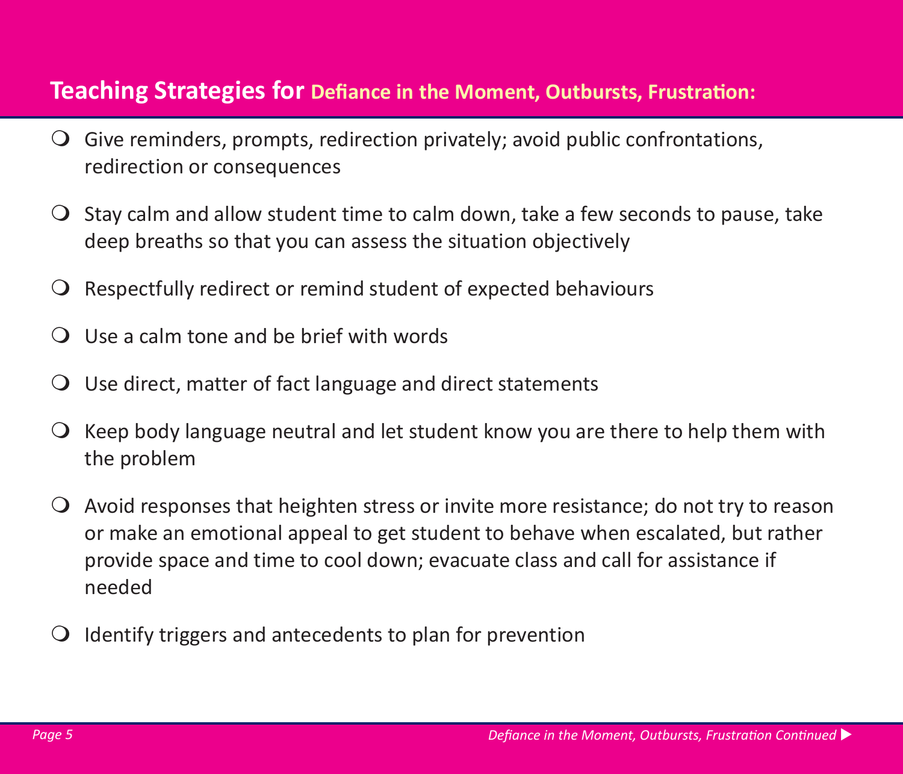#### **Teaching Strategies for Defiance in the Moment, Outbursts, Frustration:**

- Give reminders, prompts, redirection privately; avoid public confrontations, redirection or consequences
- $\overline{O}$  Stay calm and allow student time to calm down, take a few seconds to pause, take deep breaths so that you can assess the situation objectively
- $\Omega$  Respectfully redirect or remind student of expected behaviours
- $\Omega$  Use a calm tone and be brief with words
- $\overline{O}$  Use direct, matter of fact language and direct statements
- $\overline{Q}$  Keep body language neutral and let student know you are there to help them with the problem
- $\overline{Q}$  Avoid responses that heighten stress or invite more resistance; do not try to reason or make an emotional appeal to get student to behave when escalated, but rather provide space and time to cool down; evacuate class and call for assistance if needed
- $\Omega$  Identify triggers and antecedents to plan for prevention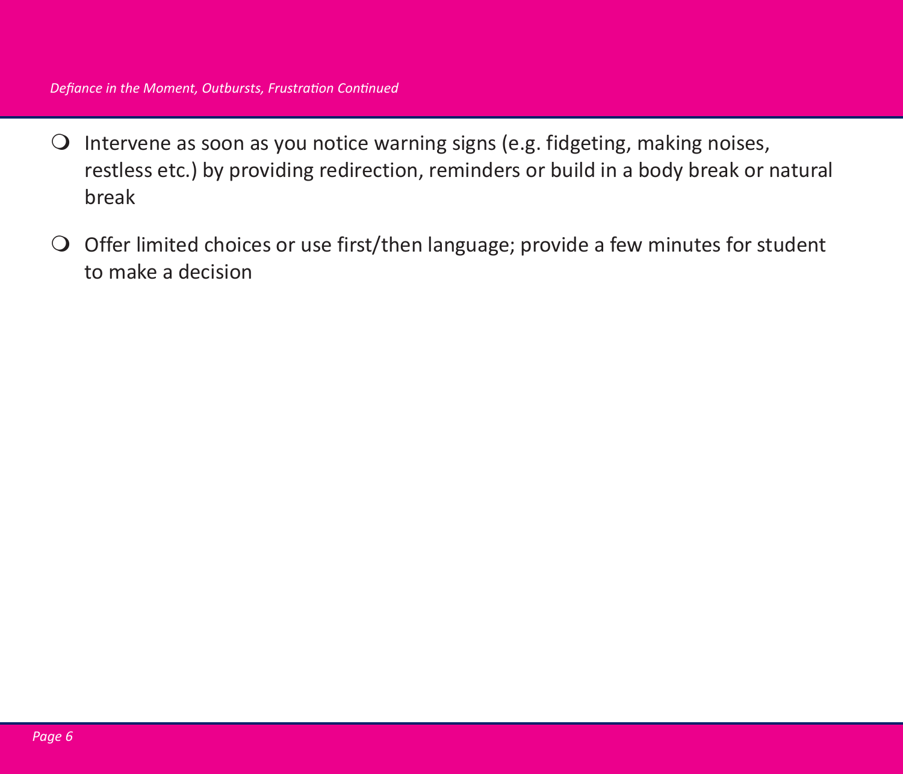- $\bigcirc$  Intervene as soon as you notice warning signs (e.g. fidgeting, making noises, restless etc.) by providing redirection, reminders or build in a body break or natural break
- $\bigcirc$  Offer limited choices or use first/then language; provide a few minutes for student to make a decision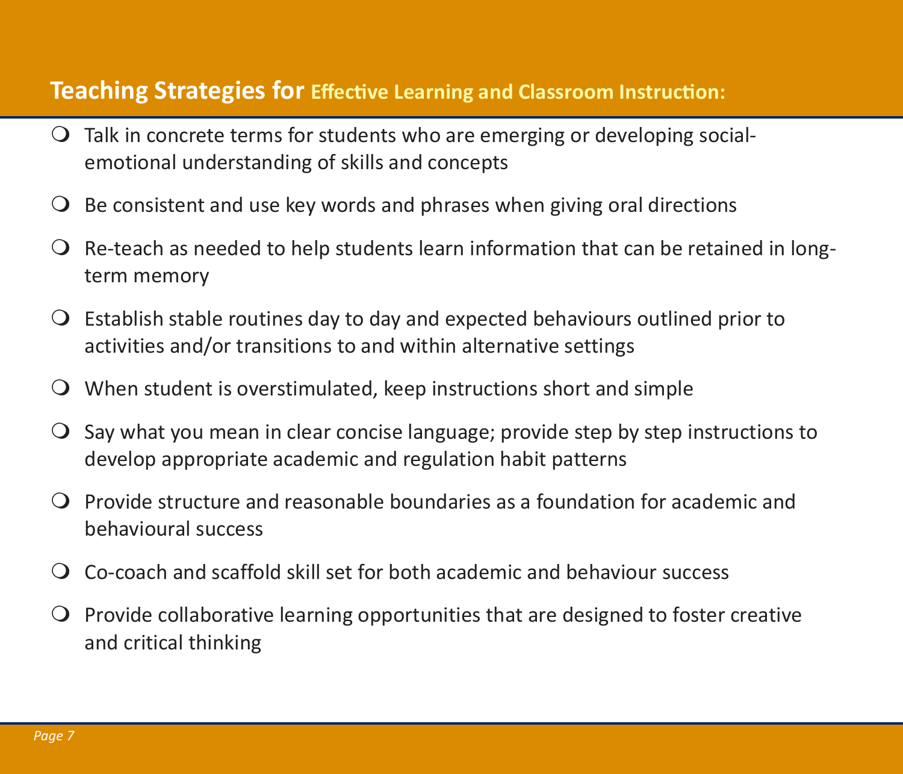#### **Teaching Strategies for Effective Learning and Classroom Instruction:**

- $\overline{Q}$  Talk in concrete terms for students who are emerging or developing socialemotional understanding of skills and concepts
- $\overline{O}$  Be consistent and use key words and phrases when giving oral directions
- $\Omega$  Re-teach as needed to help students learn information that can be retained in longterm memory
- $\overline{Q}$  Establish stable routines day to day and expected behaviours outlined prior to activities and/or transitions to and within alternative settings
- When student is overstimulated, keep instructions short and simple
- $\overline{O}$  Say what you mean in clear concise language; provide step by step instructions to develop appropriate academic and regulation habit patterns
- $\Omega$  Provide structure and reasonable boundaries as a foundation for academic and behavioural success
- Co-coach and scaffold skill set for both academic and behaviour success
- $\Omega$  Provide collaborative learning opportunities that are designed to foster creative and critical thinking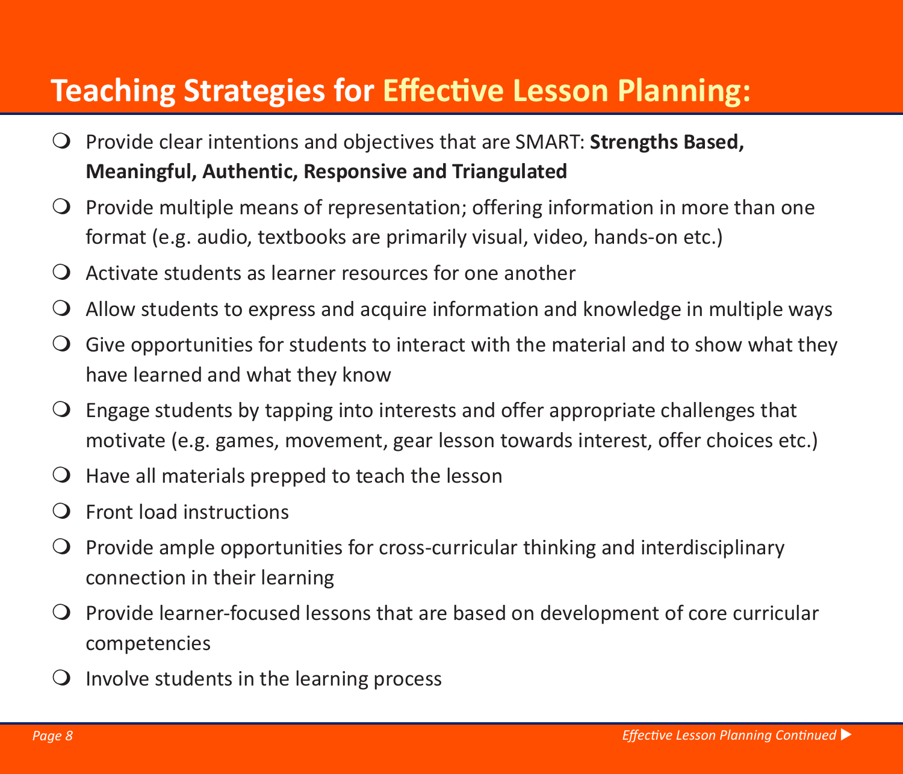### **Teaching Strategies for Effective Lesson Planning:**

- Provide clear intentions and objectives that are SMART: **Strengths Based, Meaningful, Authentic, Responsive and Triangulated**
- $\overline{Q}$  Provide multiple means of representation; offering information in more than one format (e.g. audio, textbooks are primarily visual, video, hands-on etc.)
- $\overline{Q}$  Activate students as learner resources for one another
- $\overline{Q}$  Allow students to express and acquire information and knowledge in multiple ways
- $\overline{Q}$  Give opportunities for students to interact with the material and to show what they have learned and what they know
- $\overline{Q}$  Engage students by tapping into interests and offer appropriate challenges that motivate (e.g. games, movement, gear lesson towards interest, offer choices etc.)
- $\overline{O}$  Have all materials prepped to teach the lesson
- $\Omega$  Front load instructions
- $\overline{Q}$  Provide ample opportunities for cross-curricular thinking and interdisciplinary connection in their learning
- $\overline{Q}$  Provide learner-focused lessons that are based on development of core curricular competencies
- $\Omega$  Involve students in the learning process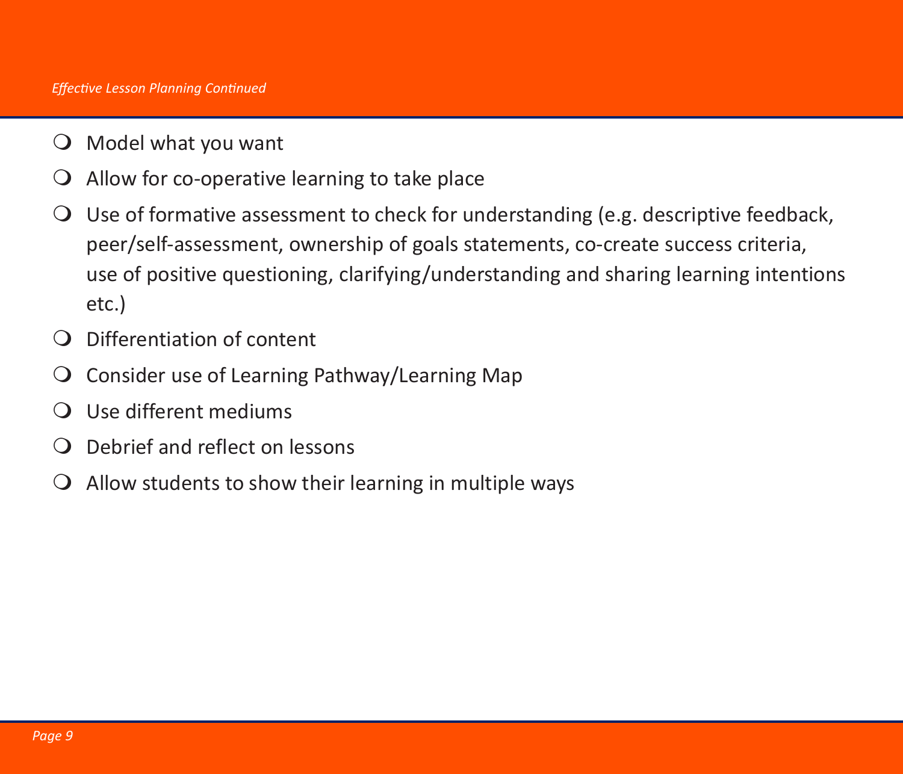- $\bigcirc$  Model what you want
- $\overline{Q}$  Allow for co-operative learning to take place
- Use of formative assessment to check for understanding (e.g. descriptive feedback, peer/self-assessment, ownership of goals statements, co-create success criteria, use of positive questioning, clarifying/understanding and sharing learning intentions etc.)
- Differentiation of content
- $\overline{O}$  Consider use of Learning Pathway/Learning Map
- Use different mediums
- Debrief and reflect on lessons
- $\overline{Q}$  Allow students to show their learning in multiple ways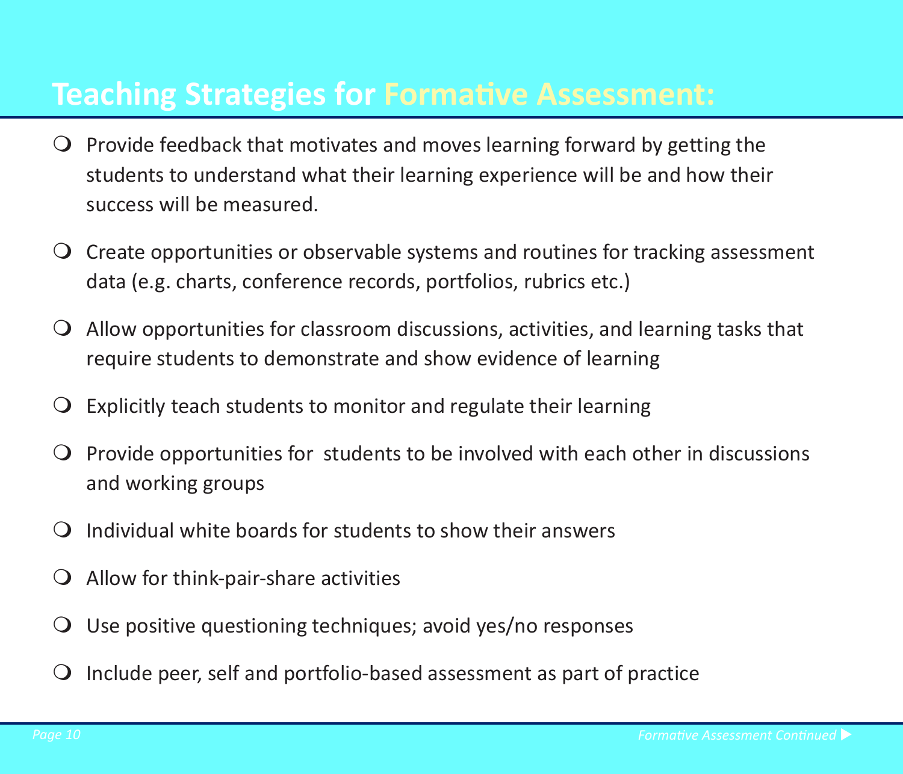#### **Teaching Strategies for Formative Assessment:**

- $\overline{Q}$  Provide feedback that motivates and moves learning forward by getting the students to understand what their learning experience will be and how their success will be measured.
- Create opportunities or observable systems and routines for tracking assessment data (e.g. charts, conference records, portfolios, rubrics etc.)
- $\overline{Q}$  Allow opportunities for classroom discussions, activities, and learning tasks that require students to demonstrate and show evidence of learning
- $\Omega$  Explicitly teach students to monitor and regulate their learning
- $\Omega$  Provide opportunities for students to be involved with each other in discussions and working groups
- $\Omega$  Individual white boards for students to show their answers
- $\overline{Q}$  Allow for think-pair-share activities
- $\overline{Q}$  Use positive questioning techniques; avoid yes/no responses
- $\Omega$  Include peer, self and portfolio-based assessment as part of practice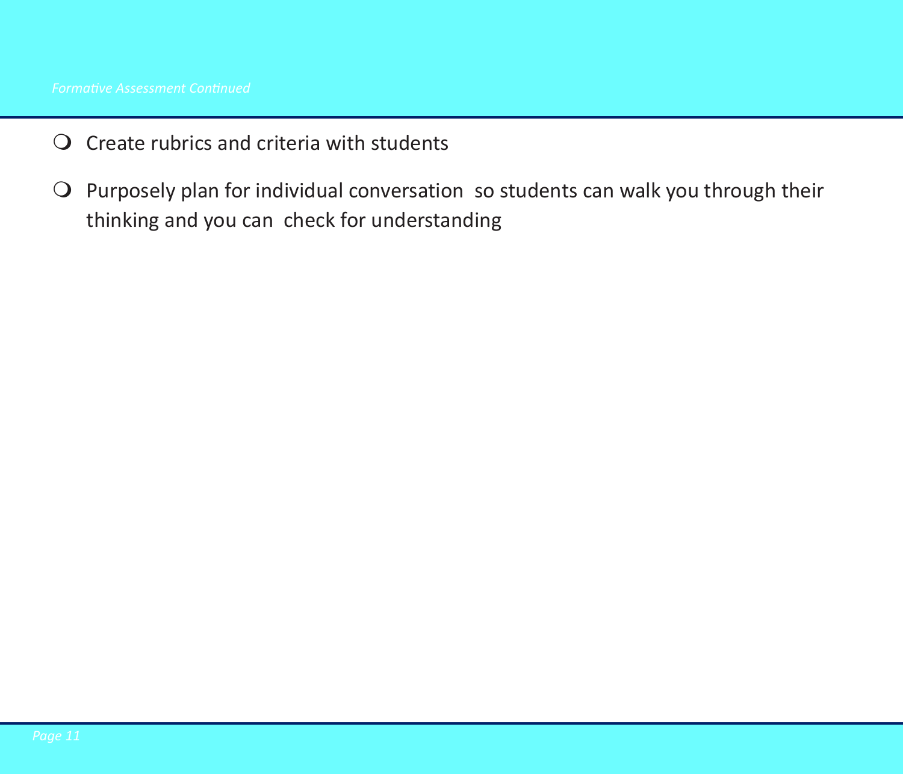- $\overline{Q}$  Create rubrics and criteria with students
- $\Omega$  Purposely plan for individual conversation so students can walk you through their thinking and you can check for understanding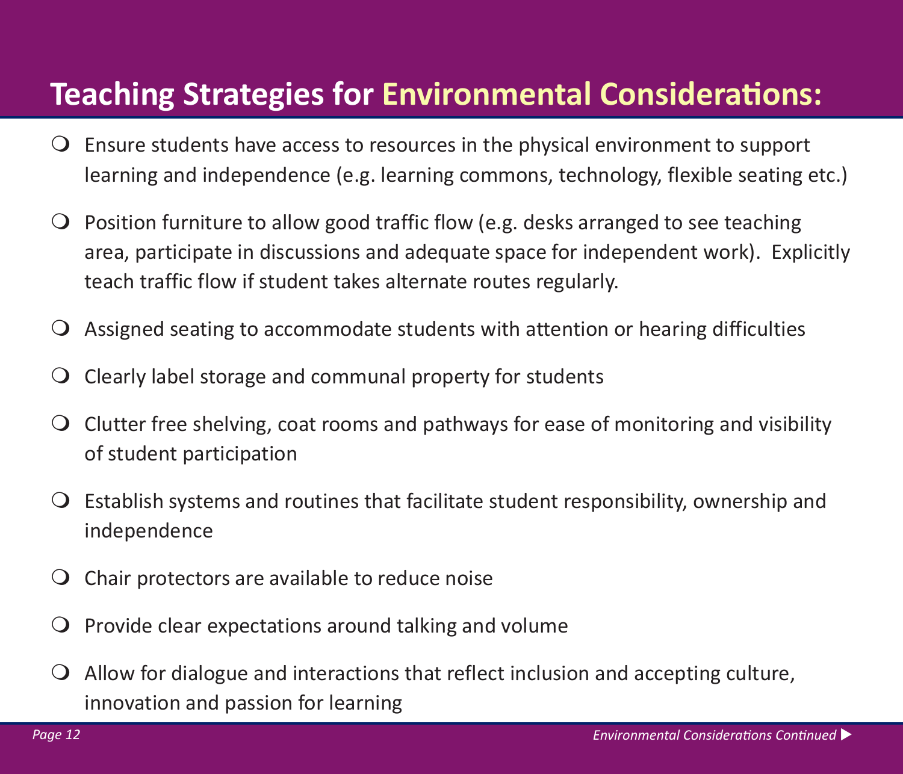### **Teaching Strategies for Environmental Considerations:**

- $\overline{Q}$  Ensure students have access to resources in the physical environment to support learning and independence (e.g. learning commons, technology, flexible seating etc.)
- $\bigcirc$  Position furniture to allow good traffic flow (e.g. desks arranged to see teaching area, participate in discussions and adequate space for independent work). Explicitly teach traffic flow if student takes alternate routes regularly.
- $\overline{Q}$  Assigned seating to accommodate students with attention or hearing difficulties
- $\overline{Q}$  Clearly label storage and communal property for students
- $\overline{Q}$  Clutter free shelving, coat rooms and pathways for ease of monitoring and visibility of student participation
- $\bigcirc$  Establish systems and routines that facilitate student responsibility, ownership and independence
- $\overline{O}$  Chair protectors are available to reduce noise
- $\Omega$  Provide clear expectations around talking and volume
- $\Omega$  Allow for dialogue and interactions that reflect inclusion and accepting culture, innovation and passion for learning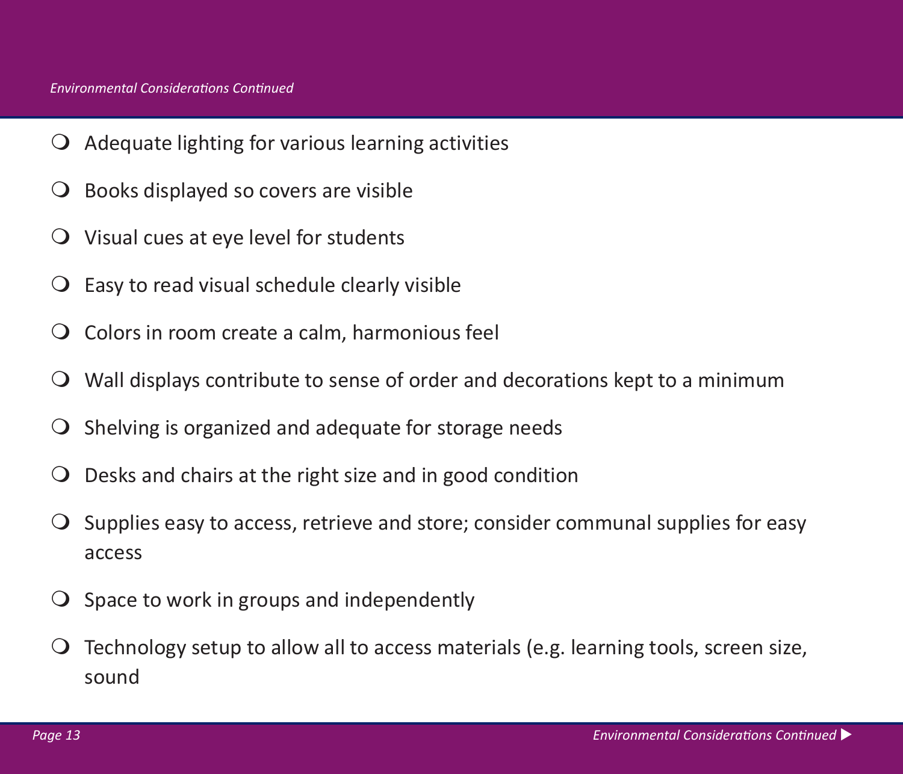- $\overline{Q}$  Adequate lighting for various learning activities
- $\bigcirc$  Books displayed so covers are visible
- Visual cues at eye level for students
- $\bigcirc$  Easy to read visual schedule clearly visible
- $\overline{Q}$  Colors in room create a calm, harmonious feel
- Wall displays contribute to sense of order and decorations kept to a minimum
- $\overline{O}$  Shelving is organized and adequate for storage needs
- $\overline{O}$  Desks and chairs at the right size and in good condition
- $\overline{O}$  Supplies easy to access, retrieve and store; consider communal supplies for easy access
- $\overline{O}$  Space to work in groups and independently
- $\overline{O}$  Technology setup to allow all to access materials (e.g. learning tools, screen size, sound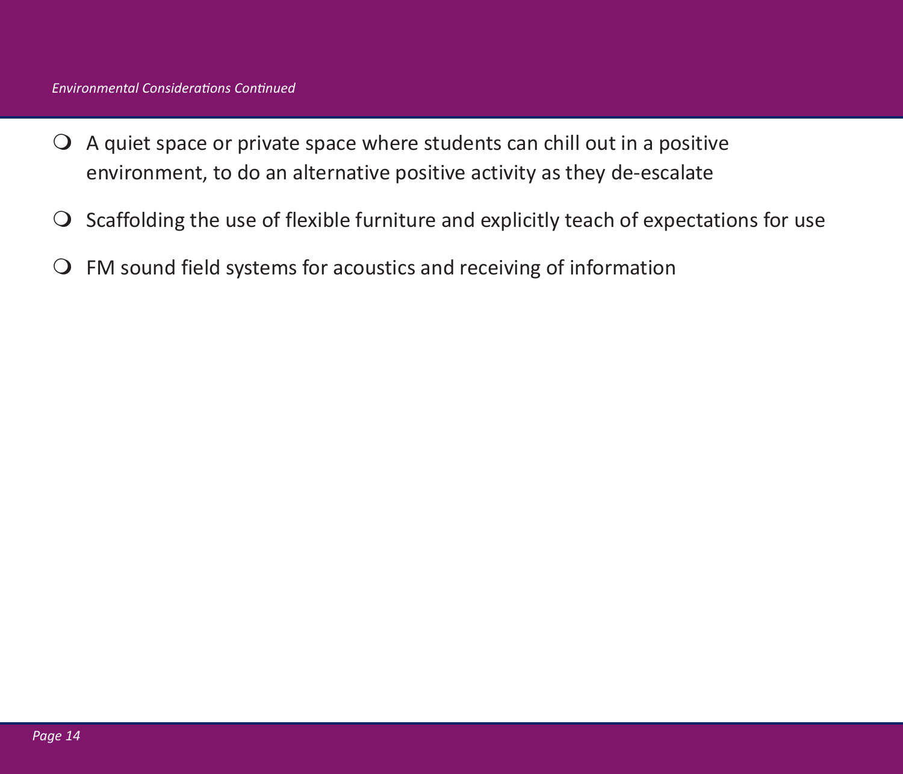- $\Omega$  A quiet space or private space where students can chill out in a positive environment, to do an alternative positive activity as they de-escalate
- $\Omega$  Scaffolding the use of flexible furniture and explicitly teach of expectations for use
- $\Omega$  FM sound field systems for acoustics and receiving of information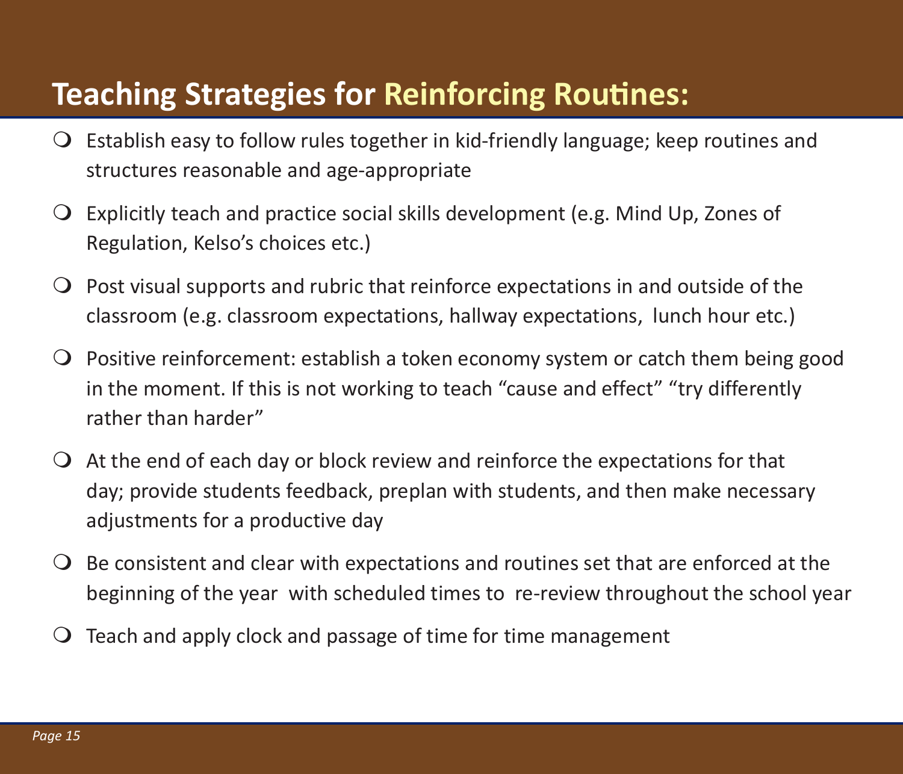## **Teaching Strategies for Reinforcing Routines:**

- $\bigcirc$  Establish easy to follow rules together in kid-friendly language; keep routines and structures reasonable and age-appropriate
- Explicitly teach and practice social skills development (e.g. Mind Up, Zones of Regulation, Kelso's choices etc.)
- $\bigcirc$  Post visual supports and rubric that reinforce expectations in and outside of the classroom (e.g. classroom expectations, hallway expectations, lunch hour etc.)
- $\overline{Q}$  Positive reinforcement: establish a token economy system or catch them being good in the moment. If this is not working to teach "cause and effect" "try differently rather than harder"
- $\overline{Q}$  At the end of each day or block review and reinforce the expectations for that day; provide students feedback, preplan with students, and then make necessary adjustments for a productive day
- $\Theta$  Be consistent and clear with expectations and routines set that are enforced at the beginning of the year with scheduled times to re-review throughout the school year
- $\Omega$  Teach and apply clock and passage of time for time management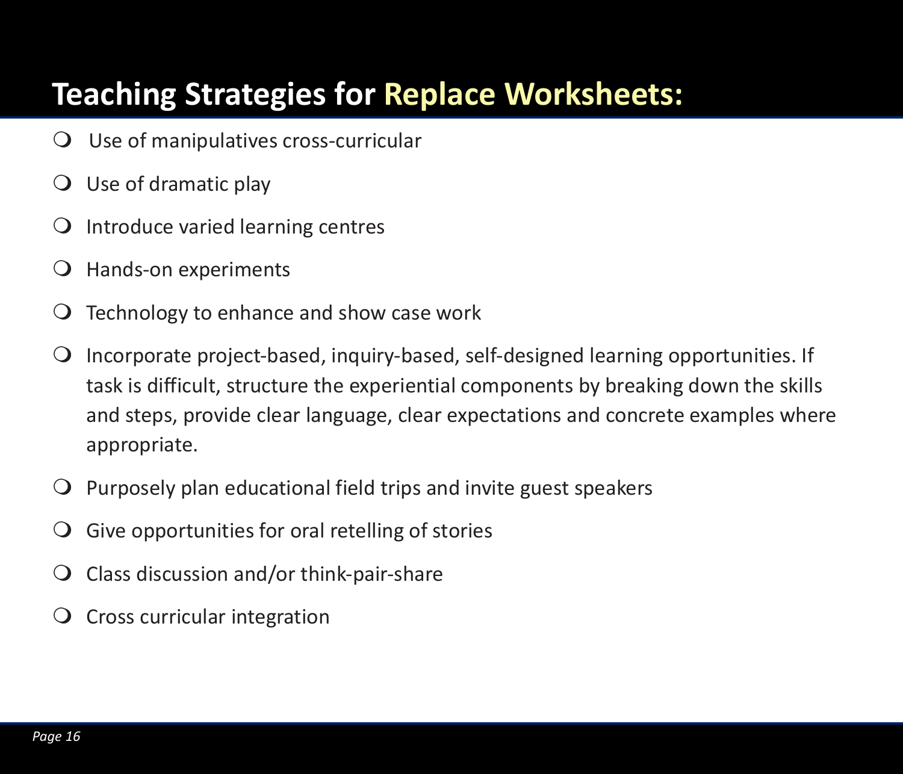## **Teaching Strategies for Replace Worksheets:**

- Use of manipulatives cross-curricular
- $\bigcirc$  Use of dramatic play
- $\Omega$  Introduce varied learning centres
- Hands-on experiments
- $\bigcirc$  Technology to enhance and show case work
- $\Omega$  Incorporate project-based, inquiry-based, self-designed learning opportunities. If task is difficult, structure the experiential components by breaking down the skills and steps, provide clear language, clear expectations and concrete examples where appropriate.
- $\overline{Q}$  Purposely plan educational field trips and invite guest speakers
- $\overline{Q}$  Give opportunities for oral retelling of stories
- $\overline{Q}$  Class discussion and/or think-pair-share
- $\overline{O}$  Cross curricular integration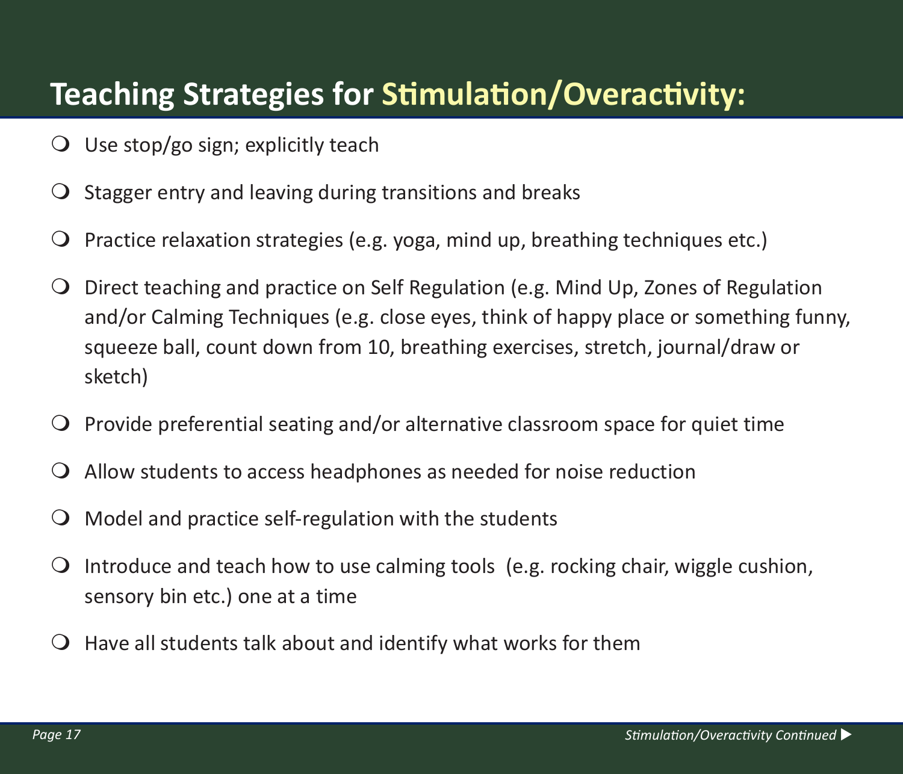## **Teaching Strategies for Stimulation/Overactivity:**

- $\bigcirc$  Use stop/go sign; explicitly teach
- $\overline{O}$  Stagger entry and leaving during transitions and breaks
- $\overline{Q}$  Practice relaxation strategies (e.g. yoga, mind up, breathing techniques etc.)
- Direct teaching and practice on Self Regulation (e.g. Mind Up, Zones of Regulation and/or Calming Techniques (e.g. close eyes, think of happy place or something funny, squeeze ball, count down from 10, breathing exercises, stretch, journal/draw or sketch)
- $\overline{Q}$  Provide preferential seating and/or alternative classroom space for quiet time
- Allow students to access headphones as needed for noise reduction
- $\Omega$  Model and practice self-regulation with the students
- $\bigcirc$  Introduce and teach how to use calming tools (e.g. rocking chair, wiggle cushion, sensory bin etc.) one at a time
- $\bigcirc$  Have all students talk about and identify what works for them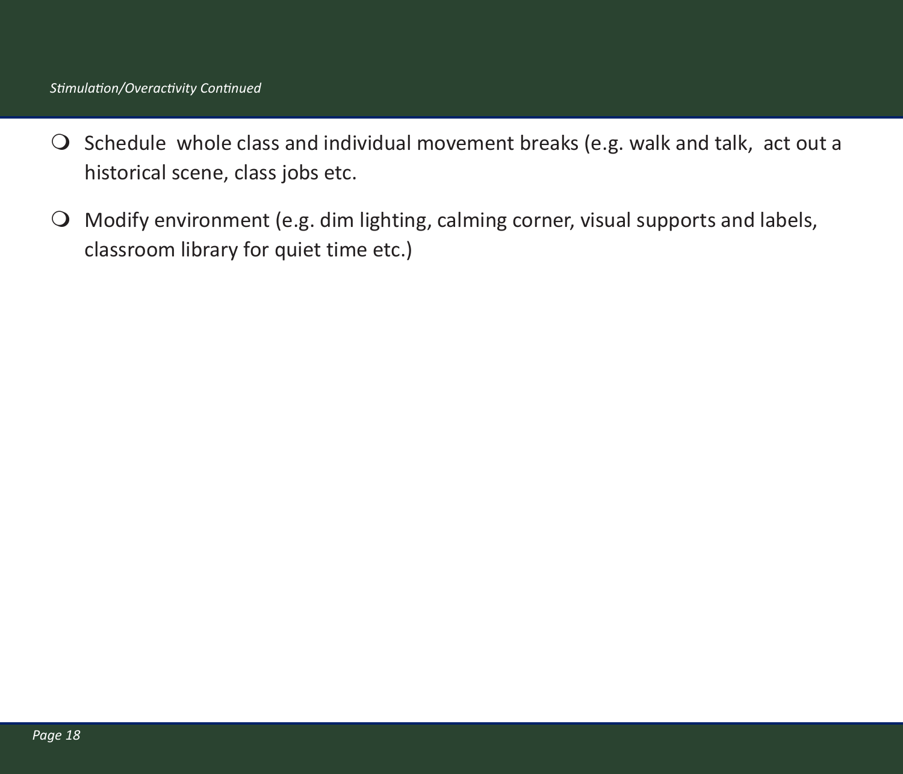#### *Stimulation/Overactivity Continued*

- $\bigcirc$  Schedule whole class and individual movement breaks (e.g. walk and talk, act out a historical scene, class jobs etc.
- Modify environment (e.g. dim lighting, calming corner, visual supports and labels, classroom library for quiet time etc.)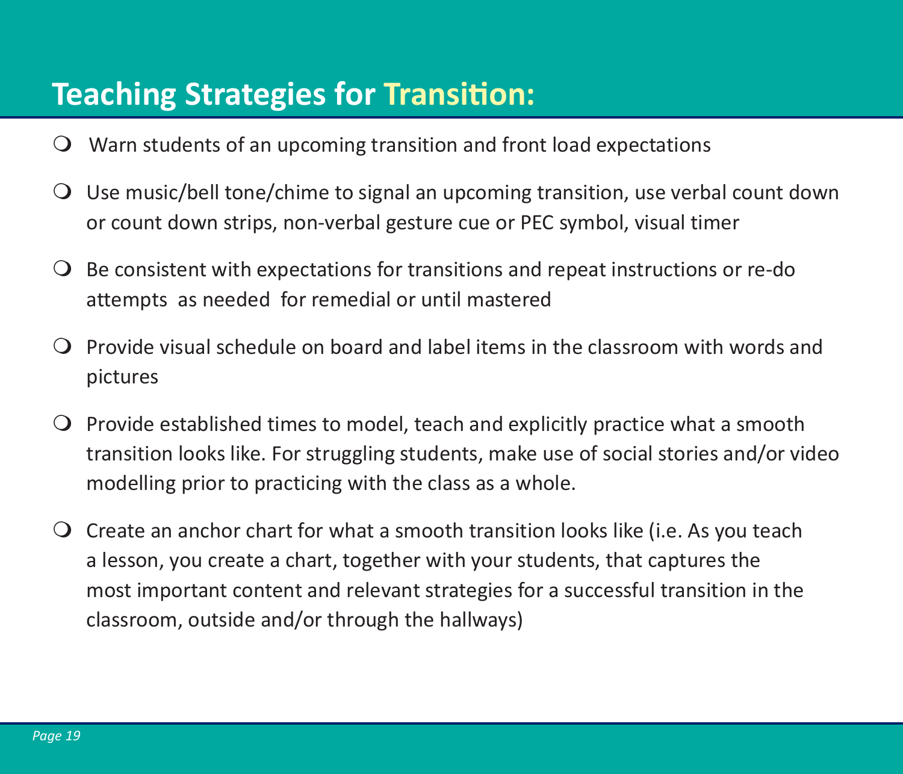### **Teaching Strategies for Transition:**

- Warn students of an upcoming transition and front load expectations
- Use music/bell tone/chime to signal an upcoming transition, use verbal count down or count down strips, non-verbal gesture cue or PEC symbol, visual timer
- $\overline{O}$  Be consistent with expectations for transitions and repeat instructions or re-do attempts as needed for remedial or until mastered
- $\Omega$  Provide visual schedule on board and label items in the classroom with words and pictures
- $\overline{Q}$  Provide established times to model, teach and explicitly practice what a smooth transition looks like. For struggling students, make use of social stories and/or video modelling prior to practicing with the class as a whole.
- $\bigcirc$  Create an anchor chart for what a smooth transition looks like (i.e. As you teach a lesson, you create a chart, together with your students, that captures the most important content and relevant strategies for a successful transition in the classroom, outside and/or through the hallways)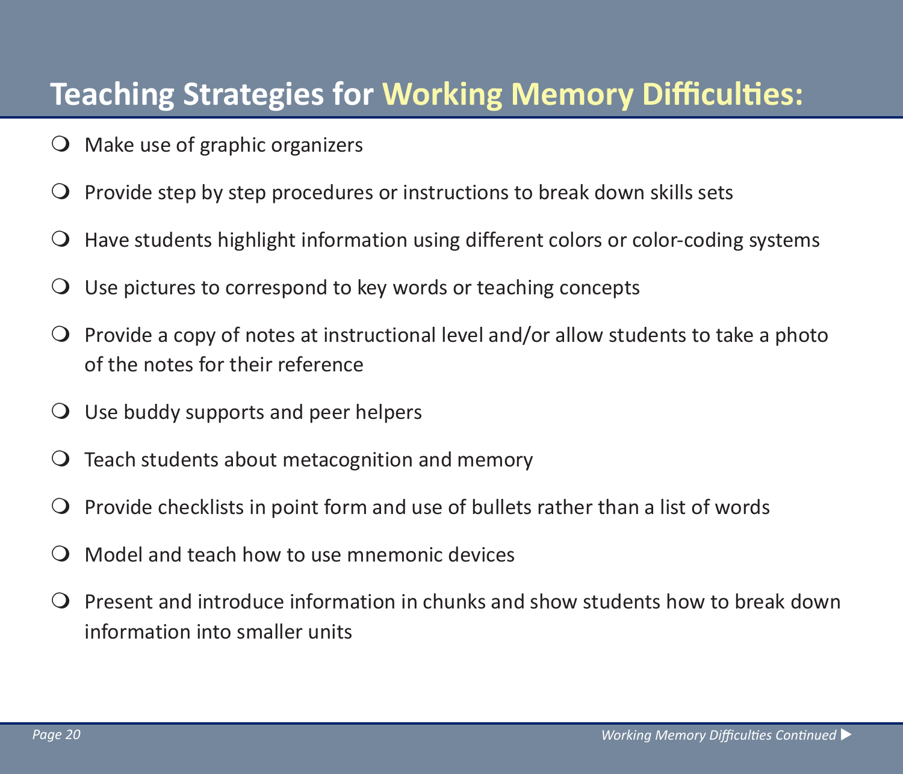### **Teaching Strategies for Working Memory Difficulties:**

- $\bigcirc$  Make use of graphic organizers
- $\overline{Q}$  Provide step by step procedures or instructions to break down skills sets
- $\bigcirc$  Have students highlight information using different colors or color-coding systems
- $\overline{O}$  Use pictures to correspond to key words or teaching concepts
- $\overline{Q}$  Provide a copy of notes at instructional level and/or allow students to take a photo of the notes for their reference
- $\overline{Q}$  Use buddy supports and peer helpers
- $\bigcirc$  Teach students about metacognition and memory
- $\overline{Q}$  Provide checklists in point form and use of bullets rather than a list of words
- Model and teach how to use mnemonic devices
- $\Omega$  Present and introduce information in chunks and show students how to break down information into smaller units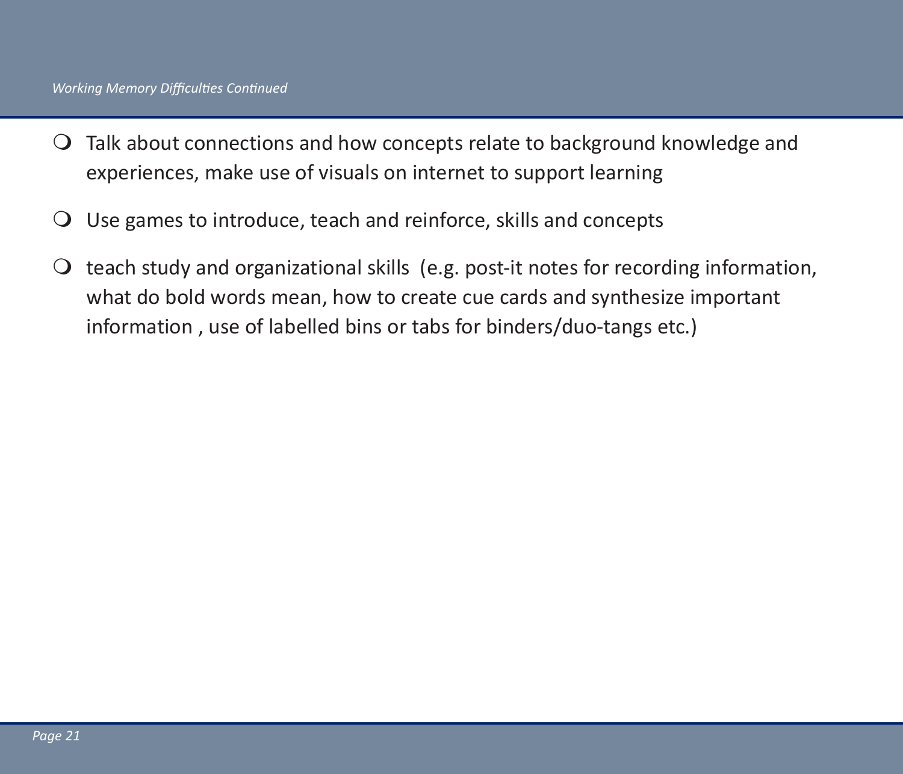- Talk about connections and how concepts relate to background knowledge and experiences, make use of visuals on internet to support learning
- $\overline{O}$  Use games to introduce, teach and reinforce, skills and concepts
- $\Omega$  teach study and organizational skills (e.g. post-it notes for recording information, what do bold words mean, how to create cue cards and synthesize important information , use of labelled bins or tabs for binders/duo-tangs etc.)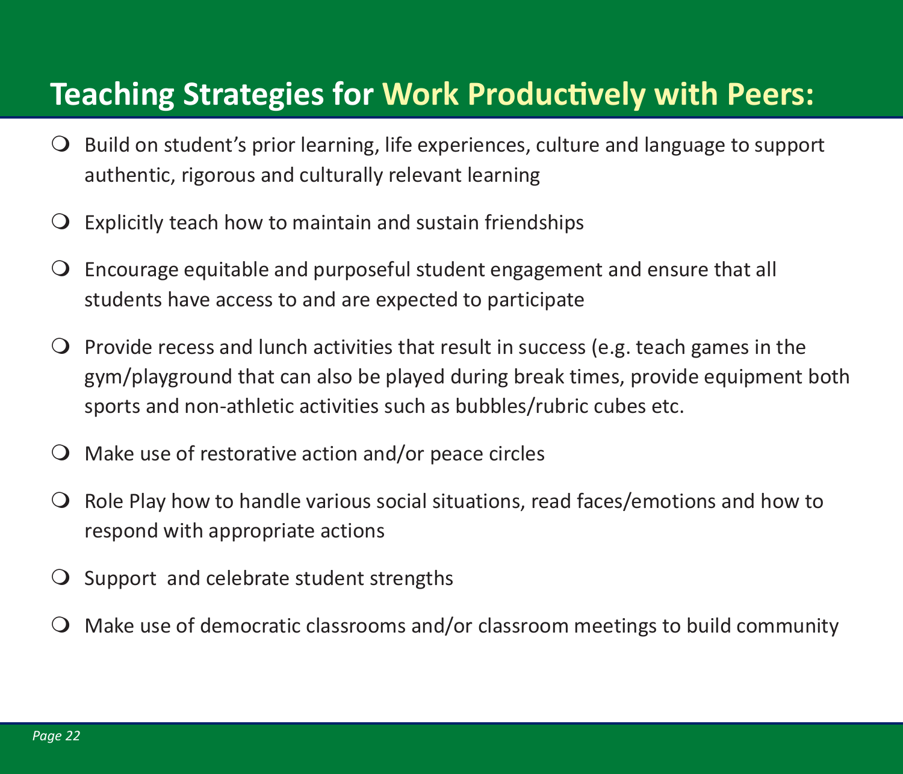#### **Teaching Strategies for Work Productively with Peers:**

- $\bigcirc$  Build on student's prior learning, life experiences, culture and language to support authentic, rigorous and culturally relevant learning
- $\overline{O}$  Explicitly teach how to maintain and sustain friendships
- Encourage equitable and purposeful student engagement and ensure that all students have access to and are expected to participate
- $\overline{Q}$  Provide recess and lunch activities that result in success (e.g. teach games in the gym/playground that can also be played during break times, provide equipment both sports and non-athletic activities such as bubbles/rubric cubes etc.
- $\Omega$  Make use of restorative action and/or peace circles
- $\bigcirc$  Role Play how to handle various social situations, read faces/emotions and how to respond with appropriate actions
- $\overline{O}$  Support and celebrate student strengths
- Make use of democratic classrooms and/or classroom meetings to build community